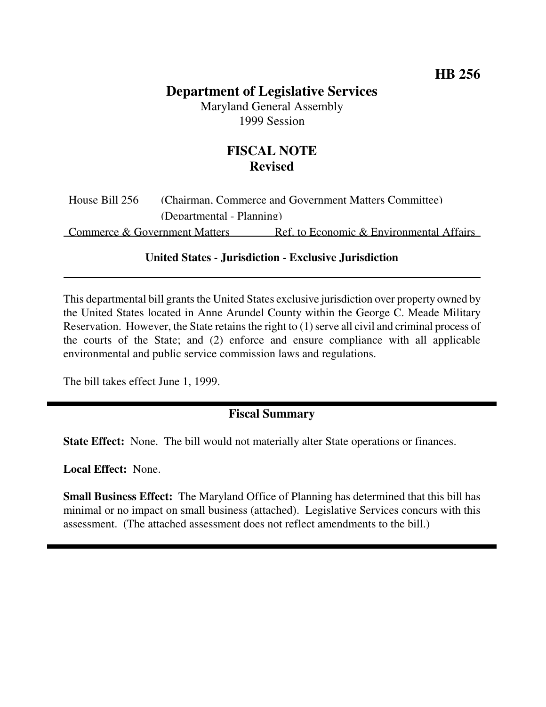## **HB 256**

# **Department of Legislative Services**

Maryland General Assembly 1999 Session

## **FISCAL NOTE Revised**

| House Bill 256                | (Chairman, Commerce and Government Matters Committee) |                                          |  |
|-------------------------------|-------------------------------------------------------|------------------------------------------|--|
| (Departmental - Planning)     |                                                       |                                          |  |
| Commerce & Government Matters |                                                       | Ref. to Economic & Environmental Affairs |  |

#### **United States - Jurisdiction - Exclusive Jurisdiction**

This departmental bill grants the United States exclusive jurisdiction over property owned by the United States located in Anne Arundel County within the George C. Meade Military Reservation. However, the State retains the right to  $(1)$  serve all civil and criminal process of the courts of the State; and (2) enforce and ensure compliance with all applicable environmental and public service commission laws and regulations.

The bill takes effect June 1, 1999.

#### **Fiscal Summary**

**State Effect:** None. The bill would not materially alter State operations or finances.

**Local Effect:** None.

**Small Business Effect:** The Maryland Office of Planning has determined that this bill has minimal or no impact on small business (attached). Legislative Services concurs with this assessment. (The attached assessment does not reflect amendments to the bill.)